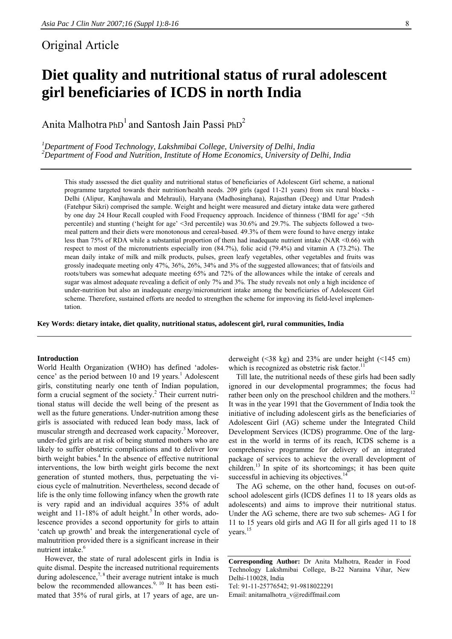## Original Article

# **Diet quality and nutritional status of rural adolescent girl beneficiaries of ICDS in north India**

Anita Malhotra PhD<sup>1</sup> and Santosh Jain Passi PhD<sup>2</sup>

*1 Department of Food Technology, Lakshmibai College, University of Delhi, India 2 Department of Food and Nutrition, Institute of Home Economics, University of Delhi, India* 

This study assessed the diet quality and nutritional status of beneficiaries of Adolescent Girl scheme, a national programme targeted towards their nutrition/health needs. 209 girls (aged 11-21 years) from six rural blocks - Delhi (Alipur, Kanjhawala and Mehrauli), Haryana (Madhosinghana), Rajasthan (Deeg) and Uttar Pradesh (Fatehpur Sikri) comprised the sample. Weight and height were measured and dietary intake data were gathered by one day 24 Hour Recall coupled with Food Frequency approach. Incidence of thinness ('BMI for age' <5th percentile) and stunting ('height for age' <3rd percentile) was 30.6% and 29.7%. The subjects followed a twomeal pattern and their diets were monotonous and cereal-based. 49.3% of them were found to have energy intake less than 75% of RDA while a substantial proportion of them had inadequate nutrient intake (NAR <0.66) with respect to most of the micronutrients especially iron (84.7%), folic acid (79.4%) and vitamin A (73.2%). The mean daily intake of milk and milk products, pulses, green leafy vegetables, other vegetables and fruits was grossly inadequate meeting only 47%, 36%, 26%, 34% and 3% of the suggested allowances; that of fats/oils and roots/tubers was somewhat adequate meeting 65% and 72% of the allowances while the intake of cereals and sugar was almost adequate revealing a deficit of only 7% and 3%. The study reveals not only a high incidence of under-nutrition but also an inadequate energy/micronutrient intake among the beneficiaries of Adolescent Girl scheme. Therefore, sustained efforts are needed to strengthen the scheme for improving its field-level implementation.

**Key Words: dietary intake, diet quality, nutritional status, adolescent girl, rural communities, India** 

#### **Introduction**

World Health Organization (WHO) has defined 'adolescence' as the period between  $10$  and  $19$  years.<sup>1</sup> Adolescent girls, constituting nearly one tenth of Indian population, form a crucial segment of the society.<sup>2</sup> Their current nutritional status will decide the well being of the present as well as the future generations. Under-nutrition among these girls is associated with reduced lean body mass, lack of muscular strength and decreased work capacity.<sup>3</sup> Moreover, under-fed girls are at risk of being stunted mothers who are likely to suffer obstetric complications and to deliver low birth weight babies.<sup>4</sup> In the absence of effective nutritional interventions, the low birth weight girls become the next generation of stunted mothers, thus, perpetuating the vicious cycle of malnutrition. Nevertheless, second decade of life is the only time following infancy when the growth rate is very rapid and an individual acquires 35% of adult weight and 11-18% of adult height.<sup>5</sup> In other words, adolescence provides a second opportunity for girls to attain 'catch up growth' and break the intergenerational cycle of malnutrition provided there is a significant increase in their nutrient intake.<sup>6</sup>

However, the state of rural adolescent girls in India is quite dismal. Despite the increased nutritional requirements during adolescence,<sup>7, 8</sup> their average nutrient intake is much below the recommended allowances.<sup>9, 10</sup> It has been estimated that 35% of rural girls, at 17 years of age, are underweight  $($  <38 kg) and 23% are under height  $($  <145 cm) which is recognized as obstetric risk factor.<sup>11</sup>

Till late, the nutritional needs of these girls had been sadly ignored in our developmental programmes; the focus had rather been only on the preschool children and the mothers.<sup>12</sup> It was in the year 1991 that the Government of India took the initiative of including adolescent girls as the beneficiaries of Adolescent Girl (AG) scheme under the Integrated Child Development Services (ICDS) programme. One of the largest in the world in terms of its reach, ICDS scheme is a comprehensive programme for delivery of an integrated package of services to achieve the overall development of children.<sup>13</sup> In spite of its shortcomings; it has been quite successful in achieving its objectives.<sup>14</sup>

The AG scheme, on the other hand, focuses on out-ofschool adolescent girls (ICDS defines 11 to 18 years olds as adolescents) and aims to improve their nutritional status. Under the AG scheme, there are two sub schemes- AG I for 11 to 15 years old girls and AG II for all girls aged 11 to 18 years.<sup>15</sup>

**Corresponding Author:** Dr Anita Malhotra, Reader in Food Technology Lakshmibai College, B-22 Naraina Vihar, New Delhi-110028, India Tel: 91-11-25776542; 91-9818022291 Email: anitamalhotra\_v@rediffmail.com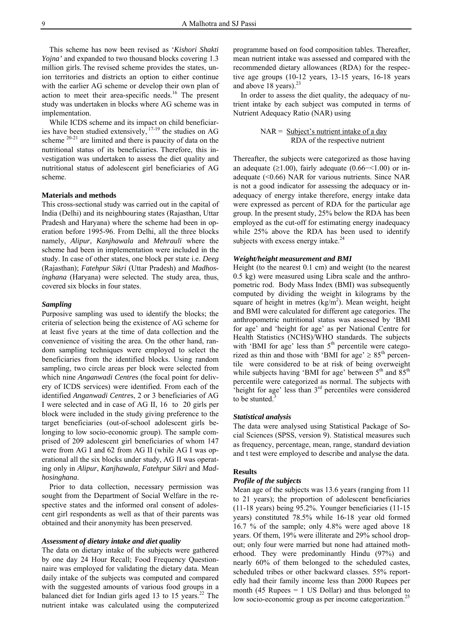This scheme has now been revised as '*Kishori Shakti Yojna'* and expanded to two thousand blocks covering 1.3 million girls. The revised scheme provides the states, union territories and districts an option to either continue with the earlier AG scheme or develop their own plan of action to meet their area-specific needs.16 The present study was undertaken in blocks where AG scheme was in implementation.

While ICDS scheme and its impact on child beneficiaries have been studied extensively,  $17-19$  the studies on AG scheme  $20-21$  are limited and there is paucity of data on the nutritional status of its beneficiaries. Therefore, this investigation was undertaken to assess the diet quality and nutritional status of adolescent girl beneficiaries of AG scheme.

#### **Materials and methods**

This cross-sectional study was carried out in the capital of India (Delhi) and its neighbouring states (Rajasthan, Uttar Pradesh and Haryana) where the scheme had been in operation before 1995-96. From Delhi, all the three blocks namely, *Alipur*, *Kanjhawala* and *Mehrauli* where the scheme had been in implementation were included in the study. In case of other states, one block per state i.e. *Deeg*  (Rajasthan); *Fatehpur Sikri* (Uttar Pradesh) and *Madhosinghana* (Haryana) were selected. The study area, thus, covered six blocks in four states.

#### *Sampling*

Purposive sampling was used to identify the blocks; the criteria of selection being the existence of AG scheme for at least five years at the time of data collection and the convenience of visiting the area. On the other hand, random sampling techniques were employed to select the beneficiaries from the identified blocks. Using random sampling, two circle areas per block were selected from which nine *Anganwadi Centre*s (the focal point for delivery of ICDS services) were identified. From each of the identified *Anganwadi Centre*s, 2 or 3 beneficiaries of AG I were selected and in case of AG II, 16 to 20 girls per block were included in the study giving preference to the target beneficiaries (out-of-school adolescent girls belonging to low socio-economic group). The sample comprised of 209 adolescent girl beneficiaries of whom 147 were from AG I and 62 from AG II (while AG I was operational all the six blocks under study, AG II was operating only in *Alipur*, *Kanjhawala, Fatehpur Sikri* and *Madhosinghana*.

Prior to data collection, necessary permission was sought from the Department of Social Welfare in the respective states and the informed oral consent of adolescent girl respondents as well as that of their parents was obtained and their anonymity has been preserved.

#### *Assessment of dietary intake and diet quality*

The data on dietary intake of the subjects were gathered by one day 24 Hour Recall; Food Frequency Questionnaire was employed for validating the dietary data. Mean daily intake of the subjects was computed and compared with the suggested amounts of various food groups in a balanced diet for Indian girls aged 13 to 15 years.<sup>22</sup> The nutrient intake was calculated using the computerized

programme based on food composition tables. Thereafter, mean nutrient intake was assessed and compared with the recommended dietary allowances (RDA) for the respective age groups (10-12 years, 13-15 years, 16-18 years and above 18 years). $^{23}$ 

In order to assess the diet quality, the adequacy of nutrient intake by each subject was computed in terms of Nutrient Adequacy Ratio (NAR) using

> $NAR =$  Subject's nutrient intake of a day RDA of the respective nutrient

Thereafter, the subjects were categorized as those having an adequate ( $\geq$ 1.00), fairly adequate (0.66– $\leq$ 1.00) or inadequate (<0.66) NAR for various nutrients. Since NAR is not a good indicator for assessing the adequacy or inadequacy of energy intake therefore, energy intake data were expressed as percent of RDA for the particular age group. In the present study, 25% below the RDA has been employed as the cut-off for estimating energy inadequacy while 25% above the RDA has been used to identify subjects with excess energy intake. $24$ 

#### *Weight/height measurement and BMI*

Height (to the nearest 0.1 cm) and weight (to the nearest 0.5 kg) were measured using Libra scale and the anthropometric rod. Body Mass Index (BMI) was subsequently computed by dividing the weight in kilograms by the square of height in metres  $(kg/m<sup>2</sup>)$ . Mean weight, height and BMI were calculated for different age categories. The anthropometric nutritional status was assessed by 'BMI for age' and 'height for age' as per National Centre for Health Statistics (NCHS)/WHO standards. The subjects with 'BMI for age' less than  $5<sup>th</sup>$  percentile were categorized as thin and those with 'BMI for age'  $\geq 85$ <sup>th</sup> percentile were considered to be at risk of being overweight while subjects having 'BMI for age' between  $5<sup>th</sup>$  and  $85<sup>th</sup>$ percentile were categorized as normal. The subjects with 'height for age' less than  $3<sup>rd</sup>$  percentiles were considered to be stunted. $\frac{3}{2}$ 

#### *Statistical analysis*

The data were analysed using Statistical Package of Social Sciences (SPSS, version 9). Statistical measures such as frequency, percentage, mean, range, standard deviation and t test were employed to describe and analyse the data.

#### **Results**

#### *Profile of the subjects*

Mean age of the subjects was 13.6 years (ranging from 11 to 21 years); the proportion of adolescent beneficiaries (11-18 years) being 95.2%. Younger beneficiaries (11-15 years) constituted 78.5% while 16-18 year old formed 16.7 % of the sample; only 4.8% were aged above 18 years. Of them, 19% were illiterate and 29% school dropout; only four were married but none had attained motherhood. They were predominantly Hindu (97%) and nearly 60% of them belonged to the scheduled castes, scheduled tribes or other backward classes. 55% reportedly had their family income less than 2000 Rupees per month (45 Rupees  $= 1$  US Dollar) and thus belonged to low socio-economic group as per income categorization.<sup>25</sup>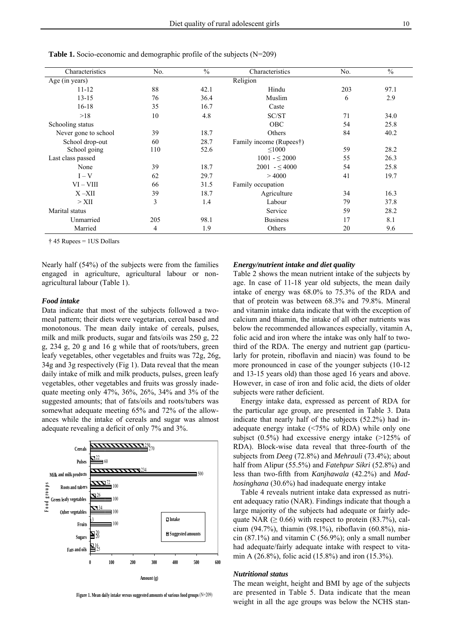| Characteristics      | No. | $\frac{0}{0}$ | Characteristics         | No. | $\frac{0}{0}$ |
|----------------------|-----|---------------|-------------------------|-----|---------------|
| Age (in years)       |     |               | Religion                |     |               |
| $11 - 12$            | 88  | 42.1          | Hindu                   | 203 | 97.1          |
| $13 - 15$            | 76  | 36.4          | Muslim                  | 6   | 2.9           |
| $16-18$              | 35  | 16.7          | Caste                   |     |               |
| >18                  | 10  | 4.8           | SC/ST                   | 71  | 34.0          |
| Schooling status     |     |               | <b>OBC</b>              | 54  | 25.8          |
| Never gone to school | 39  | 18.7          | Others                  | 84  | 40.2          |
| School drop-out      | 60  | 28.7          | Family income (Rupees†) |     |               |
| School going         | 110 | 52.6          | < 1000                  | 59  | 28.2          |
| Last class passed    |     |               | $1001 - \leq 2000$      | 55  | 26.3          |
| None                 | 39  | 18.7          | $2001 - 54000$          | 54  | 25.8          |
| $I - V$              | 62  | 29.7          | >4000                   | 41  | 19.7          |
| $VI - VIII$          | 66  | 31.5          | Family occupation       |     |               |
| $X - XII$            | 39  | 18.7          | Agriculture             | 34  | 16.3          |
| $>$ XII              | 3   | 1.4           | Labour                  | 79  | 37.8          |
| Marital status       |     |               | Service                 | 59  | 28.2          |
| Unmarried            | 205 | 98.1          | <b>Business</b>         | 17  | 8.1           |
| Married              | 4   | 1.9           | Others                  | 20  | 9.6           |

**Table 1.** Socio-economic and demographic profile of the subjects (N=209)

† 45 Rupees = 1US Dollars

Nearly half (54%) of the subjects were from the families engaged in agriculture, agricultural labour or nonagricultural labour (Table 1).

#### *Food intake*

Data indicate that most of the subjects followed a twomeal pattern; their diets were vegetarian, cereal based and monotonous. The mean daily intake of cereals, pulses, milk and milk products, sugar and fats/oils was 250 g, 22 g, 234 g, 20 g and 16 g while that of roots/tubers, green leafy vegetables, other vegetables and fruits was 72g, 26g, 34g and 3g respectively (Fig 1). Data reveal that the mean daily intake of milk and milk products, pulses, green leafy vegetables, other vegetables and fruits was grossly inadequate meeting only 47%, 36%, 26%, 34% and 3% of the suggested amounts; that of fats/oils and roots/tubers was somewhat adequate meeting 65% and 72% of the allowances while the intake of cereals and sugar was almost adequate revealing a deficit of only 7% and 3%.



**Figure 1. Mean daily intake versus suggested amounts of various food groups** (N=209)

#### *Energy/nutrient intake and diet quality*

Table 2 shows the mean nutrient intake of the subjects by age. In case of 11-18 year old subjects, the mean daily intake of energy was 68.0% to 75.3% of the RDA and that of protein was between 68.3% and 79.8%. Mineral and vitamin intake data indicate that with the exception of calcium and thiamin, the intake of all other nutrients was below the recommended allowances especially, vitamin A, folic acid and iron where the intake was only half to twothird of the RDA. The energy and nutrient gap (particularly for protein, riboflavin and niacin) was found to be more pronounced in case of the younger subjects (10-12 and 13-15 years old) than those aged 16 years and above. However, in case of iron and folic acid, the diets of older subjects were rather deficient.

Energy intake data, expressed as percent of RDA for the particular age group, are presented in Table 3. Data indicate that nearly half of the subjects (52.2%) had inadequate energy intake (<75% of RDA) while only one subjsct (0.5%) had excessive energy intake (>125% of RDA). Block-wise data reveal that three-fourth of the subjects from *Deeg* (72.8%) and *Mehrauli* (73.4%); about half from Alipur (55.5%) and *Fatehpur Sikri* (52.8%) and less than two-fifth from *Kanjhawala* (42.2%) and *Madhosinghana* (30.6%) had inadequate energy intake

Table 4 reveals nutrient intake data expressed as nutrient adequacy ratio (NAR). Findings indicate that though a large majority of the subjects had adequate or fairly adequate NAR ( $\geq 0.66$ ) with respect to protein (83.7%), calcium (94.7%), thiamin (98.1%), riboflavin (60.8%), niacin  $(87.1\%)$  and vitamin C  $(56.9\%)$ ; only a small number had adequate/fairly adequate intake with respect to vitamin A (26.8%), folic acid (15.8%) and iron (15.3%).

#### *Nutritional status*

The mean weight, height and BMI by age of the subjects are presented in Table 5. Data indicate that the mean weight in all the age groups was below the NCHS stan-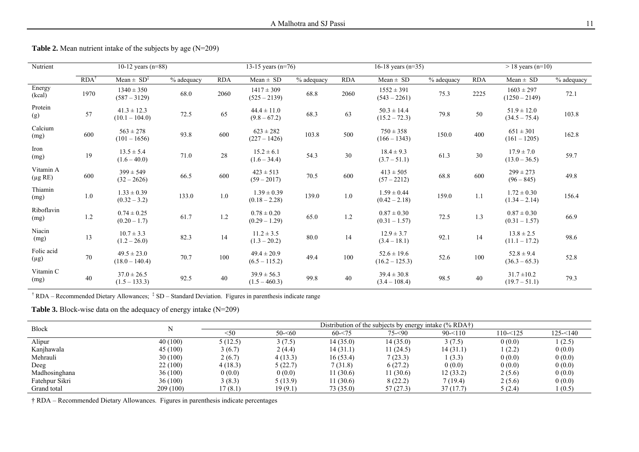| Nutrient                  |                    | $10-12$ years (n=88)                |            |            | 13-15 years $(n=76)$               |            |            | $16-18$ years (n=35)                |                          |            | $> 18$ years (n=10)                |            |  |
|---------------------------|--------------------|-------------------------------------|------------|------------|------------------------------------|------------|------------|-------------------------------------|--------------------------|------------|------------------------------------|------------|--|
|                           | $RDA$ <sup>1</sup> | Mean $\pm$ SD <sup>‡</sup>          | % adequacy | <b>RDA</b> | $Mean \pm SD$                      | % adequacy | <b>RDA</b> | $Mean \pm SD$                       | $\overline{\%}$ adequacy | <b>RDA</b> | $Mean \pm SD$                      | % adequacy |  |
| Energy<br>(kcal)          | 1970               | $1340 \pm 350$<br>$(587 - 3129)$    | 68.0       | 2060       | $1417 \pm 309$<br>$(525 - 2139)$   | 68.8       | 2060       | $1552 \pm 391$<br>$(543 - 2261)$    | 75.3                     | 2225       | $1603 \pm 297$<br>$(1250 - 2149)$  | 72.1       |  |
| Protein<br>(g)            | 57                 | $41.3 \pm 12.3$<br>$(10.1 - 104.0)$ | 72.5       | 65         | $44.4 \pm 11.0$<br>$(9.8 - 67.2)$  | 68.3       | 63         | $50.3 \pm 14.4$<br>$(15.2 - 72.3)$  | 79.8                     | 50         | $51.9 \pm 12.0$<br>$(34.5 - 75.4)$ | 103.8      |  |
| Calcium<br>(mg)           | 600                | $563 \pm 278$<br>$(101 - 1656)$     | 93.8       | 600        | $623 \pm 282$<br>$(227 - 1426)$    | 103.8      | 500        | $750 \pm 358$<br>$(166 - 1343)$     | 150.0                    | 400        | $651 \pm 301$<br>$(161 - 1205)$    | 162.8      |  |
| Iron<br>(mg)              | 19                 | $13.5 \pm 5.4$<br>$(1.6 - 40.0)$    | 71.0       | $28\,$     | $15.2 \pm 6.1$<br>$(1.6 - 34.4)$   | 54.3       | 30         | $18.4 \pm 9.3$<br>$(3.7 - 51.1)$    | 61.3                     | 30         | $17.9 \pm 7.0$<br>$(13.0 - 36.5)$  | 59.7       |  |
| Vitamin A<br>$(\mu g RE)$ | 600                | $399 \pm 549$<br>$(32 - 2626)$      | 66.5       | 600        | $423 \pm 513$<br>$(59 - 2017)$     | 70.5       | 600        | $413 \pm 505$<br>$(57 - 2212)$      | 68.8                     | 600        | $299 \pm 273$<br>$(96 - 845)$      | 49.8       |  |
| Thiamin<br>(mg)           | $1.0\,$            | $1.33 \pm 0.39$<br>$(0.32 - 3.2)$   | 133.0      | $1.0\,$    | $1.39 \pm 0.39$<br>$(0.18 - 2.28)$ | 139.0      | $1.0\,$    | $1.59 \pm 0.44$<br>$(0.42 - 2.18)$  | 159.0                    | 1.1        | $1.72 \pm 0.30$<br>$(1.34 - 2.14)$ | 156.4      |  |
| Riboflavin<br>(mg)        | 1.2                | $0.74 \pm 0.25$<br>$(0.20 - 1.7)$   | 61.7       | $1.2\,$    | $0.78 \pm 0.20$<br>$(0.29 - 1.29)$ | 65.0       | 1.2        | $0.87 \pm 0.30$<br>$(0.31 - 1.57)$  | 72.5                     | 1.3        | $0.87 \pm 0.30$<br>$(0.31 - 1.57)$ | 66.9       |  |
| Niacin<br>(mg)            | 13                 | $10.7 \pm 3.3$<br>$(1.2 - 26.0)$    | 82.3       | 14         | $11.2 \pm 3.5$<br>$(1.3 - 20.2)$   | $80.0\,$   | 14         | $12.9 \pm 3.7$<br>$(3.4 - 18.1)$    | 92.1                     | 14         | $13.8 \pm 2.5$<br>$(11.1 - 17.2)$  | 98.6       |  |
| Folic acid<br>$(\mu g)$   | 70                 | $49.5 \pm 23.0$<br>$(18.0 - 140.4)$ | 70.7       | 100        | $49.4 \pm 20.9$<br>$(6.5 - 115.2)$ | 49.4       | 100        | $52.6 \pm 19.6$<br>$(16.2 - 125.3)$ | 52.6                     | 100        | $52.8 \pm 9.4$<br>$(36.3 - 65.3)$  | 52.8       |  |
| Vitamin C<br>(mg)         | 40                 | $37.0 \pm 26.5$<br>$(1.5 - 133.3)$  | 92.5       | 40         | $39.9 \pm 56.3$<br>$(1.5 - 460.3)$ | 99.8       | 40         | $39.4 \pm 30.8$<br>$(3.4 - 108.4)$  | 98.5                     | 40         | $31.7 \pm 10.2$<br>$(19.7 - 51.1)$ | 79.3       |  |

**Table 2.** Mean nutrient intake of the subjects by age (N=209)

 $\dagger$  RDA – Recommended Dietary Allowances;  $\dagger$  SD – Standard Deviation. Figures in parenthesis indicate range

**Table 3.** Block-wise data on the adequacy of energy intake (N=209)

| <b>Block</b>   |          | Distribution of the subjects by energy intake $(\%$ RDA <sup>†</sup> ) |           |           |           |            |          |          |  |
|----------------|----------|------------------------------------------------------------------------|-----------|-----------|-----------|------------|----------|----------|--|
|                |          | <50                                                                    | $50 - 60$ | $60 - 75$ | $75 - 90$ | $90 - 110$ | 110-<125 | 125-<140 |  |
| Alipur         | 40(100)  | 5(12.5)                                                                | 3(7.5)    | 14 (35.0) | 14(35.0)  | 3(7.5)     | 0(0.0)   | 1(2.5)   |  |
| Kanjhawala     | 45(100)  | 3(6.7)                                                                 | 2 (4.4)   | 14 (31.1) | 11 (24.5) | 14(31.1)   | 1(2.2)   | 0(0.0)   |  |
| Mehrauli       | 30(100)  | 2(6.7)                                                                 | 4(13.3)   | 16(53.4)  | 7(23.3)   | 1(3.3)     | 0(0.0)   | 0(0.0)   |  |
| Deeg           | 22 (100) | 4(18.3)                                                                | 5(22.7)   | 7(31.8)   | 6(27.2)   | 0(0.0)     | 0(0.0)   | 0(0.0)   |  |
| Madhosinghana  | 36(100)  | 0(0.0)                                                                 | 0(0.0)    | 11 (30.6) | 11(30.6)  | 12(33.2)   | 2(5.6)   | 0(0.0)   |  |
| Fatehpur Sikri | 36(100)  | 3(8.3)                                                                 | 5(13.9)   | 11(30.6)  | 8(22.2)   | 7(19.4)    | 2(5.6)   | 0(0.0)   |  |
| Grand total    | 209(100) | 17 (8.1)                                                               | 19(9.1)   | 73 (35.0) | 57(27.3)  | 37(17.7)   | 5(2.4)   | 1(0.5)   |  |

† RDA – Recommended Dietary Allowances. Figures in parenthesis indicate percentages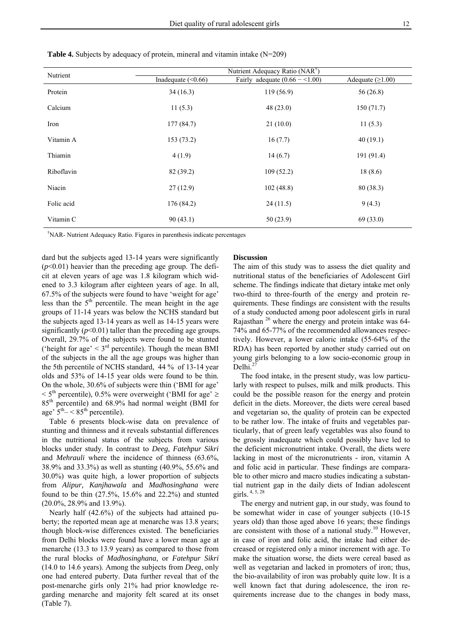| Nutrient   |                      | Nutrient Adequacy Ratio (NAR <sup>T</sup> ) |                    |  |
|------------|----------------------|---------------------------------------------|--------------------|--|
|            | Inadequate $(<0.66)$ | Fairly adequate $(0.66 - 1.00)$             | Adequate $(≥1.00)$ |  |
| Protein    | 34(16.3)             | 119(56.9)                                   | 56(26.8)           |  |
| Calcium    | 11(5.3)              | 48(23.0)                                    | 150(71.7)          |  |
| Iron       | 177(84.7)            | 21(10.0)                                    | 11(5.3)            |  |
| Vitamin A  | 153 (73.2)           | 16(7.7)                                     | 40(19.1)           |  |
| Thiamin    | 4(1.9)               | 14(6.7)                                     | 191(91.4)          |  |
| Riboflavin | 82 (39.2)            | 109(52.2)                                   | 18(8.6)            |  |
| Niacin     | 27(12.9)             | 102(48.8)                                   | 80(38.3)           |  |
| Folic acid | 176 (84.2)           | 24(11.5)                                    | 9(4.3)             |  |
| Vitamin C  | 90(43.1)             | 50(23.9)                                    | 69(33.0)           |  |

**Table 4.** Subjects by adequacy of protein, mineral and vitamin intake (N=209)

† NAR- Nutrient Adequacy Ratio. Figures in parenthesis indicate percentages

dard but the subjects aged 13-14 years were significantly  $(p<0.01)$  heavier than the preceding age group. The deficit at eleven years of age was 1.8 kilogram which widened to 3.3 kilogram after eighteen years of age. In all, 67.5% of the subjects were found to have 'weight for age' less than the  $5<sup>th</sup>$  percentile. The mean height in the age groups of 11-14 years was below the NCHS standard but the subjects aged 13-14 years as well as 14-15 years were significantly  $(p<0.01)$  taller than the preceding age groups. Overall, 29.7% of the subjects were found to be stunted ('height for age'  $\leq$  3<sup>rd</sup> percentile). Though the mean BMI of the subjects in the all the age groups was higher than the 5th percentile of NCHS standard, 44 % of 13-14 year olds and 53% of 14-15 year olds were found to be thin. On the whole, 30.6% of subjects were thin ('BMI for age'  $1 < 5$ <sup>th</sup> percentile), 0.5% were overweight ('BMI for age'  $\ge$ 85th percentile) and 68.9% had normal weight (BMI for age'  $5<sup>th</sup> - < 85<sup>th</sup>$  percentile).

Table 6 presents block-wise data on prevalence of stunting and thinness and it reveals substantial differences in the nutritional status of the subjects from various blocks under study. In contrast to *Deeg, Fatehpur Sikri*  and *Mehrauli* where the incidence of thinness (63.6%, 38.9% and 33.3%) as well as stunting (40.9%, 55.6% and 30.0%) was quite high, a lower proportion of subjects from *Alipur, Kanjhawala* and *Madhosinghana* were found to be thin (27.5%, 15.6% and 22.2%) and stunted (20.0%, 28.9% and 13.9%).

Nearly half (42.6%) of the subjects had attained puberty; the reported mean age at menarche was 13.8 years; though block-wise differences existed. The beneficiaries from Delhi blocks were found have a lower mean age at menarche (13.3 to 13.9 years) as compared to those from the rural blocks of *Madhosinghana,* or *Fatehpur Sikri*  (14.0 to 14.6 years). Among the subjects from *Deeg*, only one had entered puberty. Data further reveal that of the post-menarche girls only 21% had prior knowledge regarding menarche and majority felt scared at its onset (Table 7).

#### **Discussion**

The aim of this study was to assess the diet quality and nutritional status of the beneficiaries of Adolescent Girl scheme. The findings indicate that dietary intake met only two-third to three-fourth of the energy and protein requirements. These findings are consistent with the results of a study conducted among poor adolescent girls in rural Rajasthan  $^{26}$  where the energy and protein intake was 64-74% and 65-77% of the recommended allowances respectively. However, a lower caloric intake (55-64% of the RDA) has been reported by another study carried out on young girls belonging to a low socio-economic group in Delhi.

The food intake, in the present study, was low particularly with respect to pulses, milk and milk products. This could be the possible reason for the energy and protein deficit in the diets. Moreover, the diets were cereal based and vegetarian so, the quality of protein can be expected to be rather low. The intake of fruits and vegetables particularly, that of green leafy vegetables was also found to be grossly inadequate which could possibly have led to the deficient micronutrient intake. Overall, the diets were lacking in most of the micronutrients - iron, vitamin A and folic acid in particular. These findings are comparable to other micro and macro studies indicating a substantial nutrient gap in the daily diets of Indian adolescent girls. 4, 5, 28

The energy and nutrient gap, in our study, was found to be somewhat wider in case of younger subjects (10-15 years old) than those aged above 16 years; these findings are consistent with those of a national study.<sup>10</sup> However, in case of iron and folic acid, the intake had either decreased or registered only a minor increment with age. To make the situation worse, the diets were cereal based as well as vegetarian and lacked in promoters of iron; thus, the bio-availability of iron was probably quite low. It is a well known fact that during adolescence, the iron requirements increase due to the changes in body mass,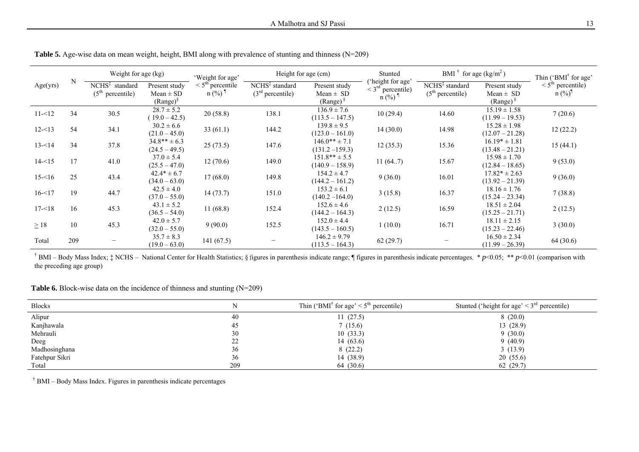|           |     | Weight for age (kg)                                           |                                                 | 'Weight for age'                                        | Height for age (cm)                                        |                                                          | Stunted                                                                        | BMI $\dagger$ for age (kg/m <sup>2</sup> )                 |                                                  | Thin ('BMI <sup>†</sup> for age'                        |
|-----------|-----|---------------------------------------------------------------|-------------------------------------------------|---------------------------------------------------------|------------------------------------------------------------|----------------------------------------------------------|--------------------------------------------------------------------------------|------------------------------------------------------------|--------------------------------------------------|---------------------------------------------------------|
| Age(yrs)  | N   | NCHS <sup>‡</sup><br>standard<br>(5 <sup>th</sup> percentile) | Present study<br>$Mean \pm SD$<br>$(Range)^{§}$ | $\leq 5^{\text{th}}$ percentile<br>$n$ (%) <sup>1</sup> | NCHS <sup>‡</sup> standard<br>(3 <sup>rd</sup> percentile) | Present study<br>Mean $\pm$ SD<br>$(Range)$ <sup>§</sup> | 'height for age'<br>$\leq$ 3 <sup>rd</sup> percentile)<br>$n$ (%) <sup>1</sup> | NCHS <sup>‡</sup> standard<br>(5 <sup>th</sup> percentile) | Present study<br>Mean $\pm$ SD<br>$(Range)^{\S}$ | $\leq$ <sup>5th</sup> percentile)<br>$n (\%)^{\dagger}$ |
| $11 - 12$ | 34  | 30.5                                                          | $28.7 \pm 5.2$<br>$(19.0 - 42.5)$               | 20(58.8)                                                | 138.1                                                      | $136.9 \pm 7.6$<br>$(113.5 - 147.5)$                     | 10(29.4)                                                                       | 14.60                                                      | $15.19 \pm 1.58$<br>$(11.99 - 19.53)$            | 7(20.6)                                                 |
| $12 - 13$ | 54  | 34.1                                                          | $30.2 \pm 6.6$<br>$(21.0 - 45.0)$               | 33(61.1)                                                | 144.2                                                      | $139.8 \pm 9.5$<br>$(123.0 - 161.0)$                     | 14(30.0)                                                                       | 14.98                                                      | $15.28 \pm 1.98$<br>$(12.07 - 21.28)$            | 12(22.2)                                                |
| $13 - 14$ | 34  | 37.8                                                          | $34.8** \pm 6.3$<br>$(24.5 - 49.5)$             | 25(73.5)                                                | 147.6                                                      | $146.0** \pm 7.1$<br>$(131.2 - 159.3)$                   | 12(35.3)                                                                       | 15.36                                                      | $16.19* \pm 1.81$<br>$(13.48 - 21.21)$           | 15(44.1)                                                |
| $14 - 15$ | 17  | 41.0                                                          | $37.0 \pm 5.4$<br>$(25.5 - 47.0)$               | 12(70.6)                                                | 149.0                                                      | $151.8** \pm 5.5$<br>$(140.9 - 158.9)$                   | 11(647)                                                                        | 15.67                                                      | $15.98 \pm 1.70$<br>$(12.84 - 18.65)$            | 9(53.0)                                                 |
| $15 - 16$ | 25  | 43.4                                                          | $42.4* \pm 6.7$<br>$(34.0 - 63.0)$              | 17(68.0)                                                | 149.8                                                      | $154.2 \pm 4.7$<br>$(144.2 - 161.2)$                     | 9(36.0)                                                                        | 16.01                                                      | $17.82* \pm 2.63$<br>$(13.92 - 21.39)$           | 9(36.0)                                                 |
| $16 - 17$ | 19  | 44.7                                                          | $42.5 \pm 4.0$<br>$(37.0 - 55.0)$               | 14(73.7)                                                | 151.0                                                      | $153.2 \pm 6.1$<br>$(140.2 - 164.0)$                     | 3(15.8)                                                                        | 16.37                                                      | $18.16 \pm 1.76$<br>$(15.24 - 23.34)$            | 7(38.8)                                                 |
| $17 - 18$ | 16  | 45.3                                                          | $43.1 \pm 5.2$<br>$(36.5 - 54.0)$               | 11(68.8)                                                | 152.4                                                      | $152.6 \pm 4.6$<br>$(144.2 - 164.3)$                     | 2(12.5)                                                                        | 16.59                                                      | $18.51 \pm 2.04$<br>$(15.25 - 21.71)$            | 2(12.5)                                                 |
| $\geq$ 18 | 10  | 45.3                                                          | $42.0 \pm 5.7$<br>$(32.0 - 55.0)$               | 9(90.0)                                                 | 152.5                                                      | $152.0 \pm 4.4$<br>$(143.5 - 160.5)$                     | 1(10.0)                                                                        | 16.71                                                      | $18.11 \pm 2.15$<br>$(15.23 - 22.46)$            | 3(30.0)                                                 |
| Total     | 209 |                                                               | $35.7 \pm 8.3$<br>$(19.0 - 63.0)$               | 141(67.5)                                               |                                                            | $146.2 \pm 9.79$<br>$(113.5 - 164.3)$                    | 62(29.7)                                                                       |                                                            | $16.50 \pm 2.34$<br>$(11.99 - 26.39)$            | 64 (30.6)                                               |

Table 5. Age-wise data on mean weight, height, BMI along with prevalence of stunting and thinness (N=209)

† BMI – Body Mass Index; ‡ NCHS – National Center for Health Statistics; § <sup>f</sup>igures in parenthesis indicate range; ¶ figures in parenthesis indicate percentages. \* *p*<0.05; \*\* *p*<0.01 (comparison with the preceding age group)

### **Table 6.** Block-wise data on the incidence of thinness and stunting (N=209)

| <b>Blocks</b>  |     | Thin ('BMI <sup>†</sup> for age' < $5th$ percentile) | Stunted ('height for age' $\leq$ 3 <sup>rd</sup> percentile) |
|----------------|-----|------------------------------------------------------|--------------------------------------------------------------|
| Alipur         | 40  | 11(27.5)                                             | 8(20.0)                                                      |
| Kanjhawala     | 45  | 7(15.6)                                              | 13(28.9)                                                     |
| Mehrauli       | 30  | 10(33.3)                                             | 9(30.0)                                                      |
| Deeg           | ∠∠  | 14(63.6)                                             | 9(40.9)                                                      |
| Madhosinghana  | 36  | 8(22.2)                                              | 3(13.9)                                                      |
| Fatehpur Sikri | 36  | 14(38.9)                                             | 20(55.6)                                                     |
| Total          | 209 | 64 (30.6)                                            | 62(29.7)                                                     |

† BMI – Body Mass Index. Figures in parenthesis indicate percentages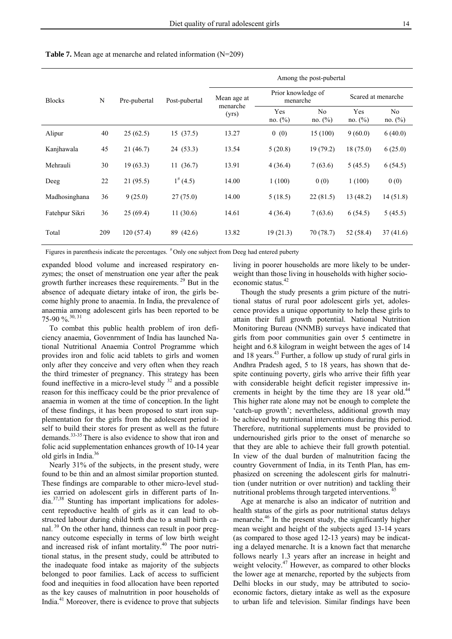|                |     | Pre-pubertal | Post-pubertal | Among the post-pubertal |                                |                              |                    |               |  |  |
|----------------|-----|--------------|---------------|-------------------------|--------------------------------|------------------------------|--------------------|---------------|--|--|
| <b>Blocks</b>  | N   |              |               | Mean age at<br>menarche | Prior knowledge of<br>menarche |                              | Scared at menarche |               |  |  |
|                |     |              |               | (yrs)                   | Yes<br>no. (%)                 | N <sub>0</sub><br>no. $(\%)$ | Yes<br>no. (%)     | No<br>no. (%) |  |  |
| Alipur         | 40  | 25(62.5)     | 15(37.5)      | 13.27                   | 0(0)                           | 15(100)                      | 9(60.0)            | 6(40.0)       |  |  |
| Kanjhawala     | 45  | 21(46.7)     | 24 (53.3)     | 13.54                   | 5(20.8)                        | 19(79.2)                     | 18(75.0)           | 6(25.0)       |  |  |
| Mehrauli       | 30  | 19(63.3)     | 11(36.7)      | 13.91                   | 4(36.4)                        | 7(63.6)                      | 5(45.5)            | 6(54.5)       |  |  |
| Deeg           | 22  | 21(95.5)     | $1^{#}(4.5)$  | 14.00                   | 1(100)                         | 0(0)                         | 1(100)             | 0(0)          |  |  |
| Madhosinghana  | 36  | 9(25.0)      | 27(75.0)      | 14.00                   | 5(18.5)                        | 22(81.5)                     | 13 (48.2)          | 14(51.8)      |  |  |
| Fatehpur Sikri | 36  | 25(69.4)     | 11(30.6)      | 14.61                   | 4(36.4)                        | 7(63.6)                      | 6(54.5)            | 5(45.5)       |  |  |
| Total          | 209 | 120(57.4)    | 89 (42.6)     | 13.82                   | 19(21.3)                       | 70(78.7)                     | 52 (58.4)          | 37(41.6)      |  |  |

**Table 7.** Mean age at menarche and related information (N=209)

Figures in parenthesis indicate the percentages.  $*$  Only one subject from Deeg had entered puberty

expanded blood volume and increased respiratory enzymes; the onset of menstruation one year after the peak growth further increases these requirements. 29 But in the absence of adequate dietary intake of iron, the girls become highly prone to anaemia. In India, the prevalence of anaemia among adolescent girls has been reported to be 75-90 %.30, 31

To combat this public health problem of iron deficiency anaemia, Govenrnment of India has launched National Nutritional Anaemia Control Programme which provides iron and folic acid tablets to girls and women only after they conceive and very often when they reach the third trimester of pregnancy. This strategy has been found ineffective in a micro-level study  $32$  and a possible reason for this inefficacy could be the prior prevalence of anaemia in women at the time of conception. In the light of these findings, it has been proposed to start iron supplementation for the girls from the adolescent period itself to build their stores for present as well as the future demands.33-35 There is also evidence to show that iron and folic acid supplementation enhances growth of 10-14 year old girls in India.<sup>36</sup>

Nearly 31% of the subjects, in the present study, were found to be thin and an almost similar proportion stunted. These findings are comparable to other micro-level studies carried on adolescent girls in different parts of India.37,38 Stunting has important implications for adolescent reproductive health of girls as it can lead to obstructed labour during child birth due to a small birth canal.<sup>39</sup> On the other hand, thinness can result in poor pregnancy outcome especially in terms of low birth weight and increased risk of infant mortality.<sup>40</sup> The poor nutritional status, in the present study, could be attributed to the inadequate food intake as majority of the subjects belonged to poor families. Lack of access to sufficient food and inequities in food allocation have been reported as the key causes of malnutrition in poor households of India.41 Moreover, there is evidence to prove that subjects

living in poorer households are more likely to be underweight than those living in households with higher socioeconomic status.<sup>42</sup>

Though the study presents a grim picture of the nutritional status of rural poor adolescent girls yet, adolescence provides a unique opportunity to help these girls to attain their full growth potential. National Nutrition Monitoring Bureau (NNMB) surveys have indicated that girls from poor communities gain over 5 centimetre in height and 6.8 kilogram in weight between the ages of 14 and 18 years.<sup>43</sup> Further, a follow up study of rural girls in Andhra Pradesh aged, 5 to 18 years, has shown that despite continuing poverty, girls who arrive their fifth year with considerable height deficit register impressive increments in height by the time they are  $18$  year old.<sup>44</sup> This higher rate alone may not be enough to complete the 'catch-up growth'; nevertheless, additional growth may be achieved by nutritional interventions during this period. Therefore, nutritional supplements must be provided to undernourished girls prior to the onset of menarche so that they are able to achieve their full growth potential. In view of the dual burden of malnutrition facing the country Government of India, in its Tenth Plan, has emphasized on screening the adolescent girls for malnutrition (under nutrition or over nutrition) and tackling their nutritional problems through targeted interventions.

Age at menarche is also an indicator of nutrition and health status of the girls as poor nutritional status delays menarche.<sup>46</sup> In the present study, the significantly higher mean weight and height of the subjects aged 13-14 years (as compared to those aged 12-13 years) may be indicating a delayed menarche. It is a known fact that menarche follows nearly 1.3 years after an increase in height and weight velocity.<sup>47</sup> However, as compared to other blocks the lower age at menarche, reported by the subjects from Delhi blocks in our study, may be attributed to socioeconomic factors, dietary intake as well as the exposure to urban life and television. Similar findings have been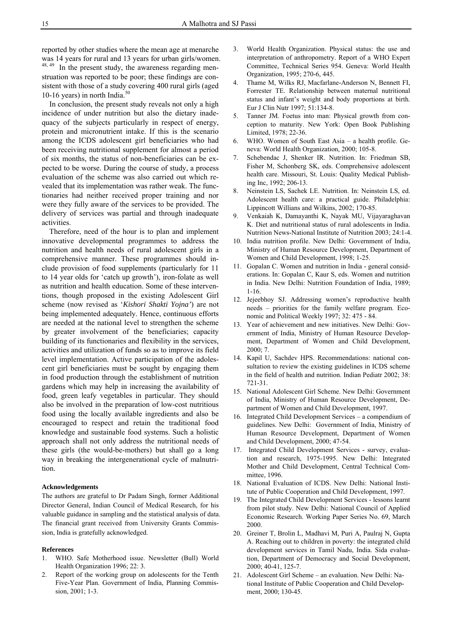reported by other studies where the mean age at menarche was 14 years for rural and 13 years for urban girls/women. <sup>48, 49</sup> In the present study, the awareness regarding menstruation was reported to be poor; these findings are consistent with those of a study covering 400 rural girls (aged 10-16 years) in north India.<sup>50</sup>

In conclusion, the present study reveals not only a high incidence of under nutrition but also the dietary inadequacy of the subjects particularly in respect of energy, protein and micronutrient intake. If this is the scenario among the ICDS adolescent girl beneficiaries who had been receiving nutritional supplement for almost a period of six months, the status of non-beneficiaries can be expected to be worse. During the course of study, a process evaluation of the scheme was also carried out which revealed that its implementation was rather weak. The functionaries had neither received proper training and nor were they fully aware of the services to be provided. The delivery of services was partial and through inadequate activities.

Therefore, need of the hour is to plan and implement innovative developmental programmes to address the nutrition and health needs of rural adolescent girls in a comprehensive manner. These programmes should include provision of food supplements (particularly for 11 to 14 year olds for 'catch up growth'), iron-folate as well as nutrition and health education. Some of these interventions, though proposed in the existing Adolescent Girl scheme (now revised as '*Kishori Shakti Yojna'*) are not being implemented adequately. Hence, continuous efforts are needed at the national level to strengthen the scheme by greater involvement of the beneficiaries; capacity building of its functionaries and flexibility in the services, activities and utilization of funds so as to improve its field level implementation. Active participation of the adolescent girl beneficiaries must be sought by engaging them in food production through the establishment of nutrition gardens which may help in increasing the availability of food, green leafy vegetables in particular. They should also be involved in the preparation of low-cost nutritious food using the locally available ingredients and also be encouraged to respect and retain the traditional food knowledge and sustainable food systems. Such a holistic approach shall not only address the nutritional needs of these girls (the would-be-mothers) but shall go a long way in breaking the intergenerational cycle of malnutrition.

#### **Acknowledgements**

The authors are grateful to Dr Padam Singh, former Additional Director General, Indian Council of Medical Research, for his valuable guidance in sampling and the statistical analysis of data. The financial grant received from University Grants Commission, India is gratefully acknowledged.

#### **References**

- 1. WHO. Safe Motherhood issue. Newsletter (Bull) World Health Organization 1996; 22: 3.
- Report of the working group on adolescents for the Tenth Five-Year Plan. Government of India, Planning Commission, 2001; 1-3.
- 3. World Health Organization. Physical status: the use and interpretation of anthropometry. Report of a WHO Expert Committee, Technical Series 954. Geneva: World Health Organization, 1995; 270-6, 445.
- 4. Thame M, Wilks RJ, Macfarlane-Anderson N, Bennett FI, Forrester TE. Relationship between maternal nutritional status and infant's weight and body proportions at birth. Eur J Clin Nutr 1997; 51:134-8.
- 5. Tanner JM. Foetus into man: Physical growth from conception to maturity. New York: Open Book Publishing Limited, 1978; 22-36.
- 6. WHO. Women of South East Asia a health profile. Geneva: World Health Organization, 2000; 105-8.
- 7. Schebendac J, Shenker IR. Nutrition. In: Friedman SB, Fisher M, Schonberg SK, eds. Comprehensive adolescent health care. Missouri, St. Louis: Quality Medical Publishing Inc, 1992; 206-13.
- 8. Neinstein LS, Sachek LE. Nutrition. In: Neinstein LS, ed. Adolescent health care: a practical guide. Philadelphia: Lippincott Willians and Wilkins, 2002; 170-85.
- 9. Venkaiah K, Damayanthi K, Nayak MU, Vijayaraghavan K. Diet and nutritional status of rural adolescents in India. Nutrition News-National Institute of Nutrition 2003; 24:1-4.
- 10. India nutrition profile. New Delhi: Government of India, Ministry of Human Resource Development, Department of Women and Child Development, 1998; 1-25.
- 11. Gopalan C. Women and nutrition in India general considerations. In: Gopalan C, Kaur S, eds. Women and nutrition in India. New Delhi: Nutrition Foundation of India, 1989; 1-16.
- 12. Jejeebhoy SJ. Addressing women's reproductive health needs – priorities for the family welfare program. Economic and Political Weekly 1997; 32: 475 - 84.
- 13. Year of achievement and new initiatives. New Delhi: Government of India, Ministry of Human Resource Development, Department of Women and Child Development, 2000; 7.
- 14. Kapil U, Sachdev HPS. Recommendations: national consultation to review the existing guidelines in ICDS scheme in the field of health and nutrition. Indian Pediatr 2002; 38: 721-31.
- 15. National Adolescent Girl Scheme. New Delhi: Government of India, Ministry of Human Resource Development, Department of Women and Child Development, 1997.
- 16. Integrated Child Development Services a compendium of guidelines. New Delhi: Government of India, Ministry of Human Resource Development, Department of Women and Child Development, 2000; 47-54.
- 17. Integrated Child Development Services survey, evaluation and research, 1975-1995. New Delhi: Integrated Mother and Child Development, Central Technical Committee, 1996.
- 18. National Evaluation of ICDS. New Delhi: National Institute of Public Cooperation and Child Development, 1997.
- 19. The Integrated Child Development Services lessons learnt from pilot study. New Delhi: National Council of Applied Economic Research. Working Paper Series No. 69, March 2000.
- 20. Greiner T, Brolin L, Madhavi M, Puri A, Paulraj N, Gupta A. Reaching out to children in poverty: the integrated child development services in Tamil Nadu, India. Sida evaluation, Department of Democracy and Social Development, 2000; 40-41, 125-7.
- 21. Adolescent Girl Scheme an evaluation. New Delhi: National Institute of Public Cooperation and Child Development, 2000; 130-45.